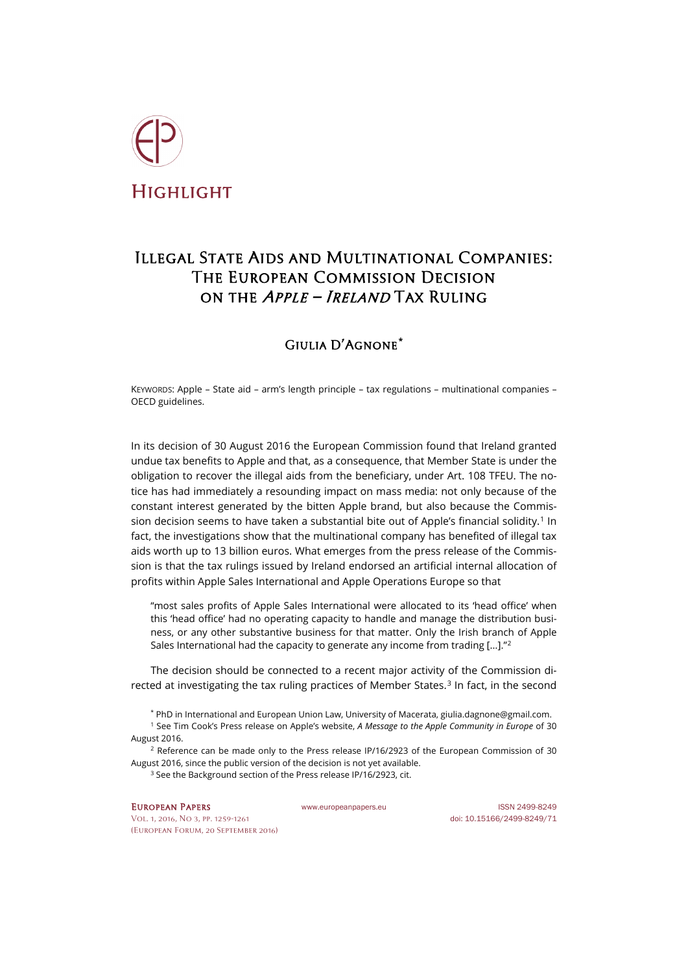

## Illegal State Aids and Multinational Companies: The European Commission Decision on the Apple – Ireland Tax Ruling

## Giulia D'Agnone**[\\*](#page-0-0)**

KEYWORDS: Apple – State aid – arm's length principle – tax regulations – multinational companies – OECD guidelines.

In its decision of 30 August 2016 the European Commission found that Ireland granted undue tax benefits to Apple and that, as a consequence, that Member State is under the obligation to recover the illegal aids from the beneficiary, under Art. 108 TFEU. The notice has had immediately a resounding impact on mass media: not only because of the constant interest generated by the bitten Apple brand, but also because the Commis-sion decision seems to have taken a substantial bite out of Apple's financial solidity.<sup>[1](#page-0-1)</sup> In fact, the investigations show that the multinational company has benefited of illegal tax aids worth up to 13 billion euros. What emerges from the press release of the Commission is that the tax rulings issued by Ireland endorsed an artificial internal allocation of profits within Apple Sales International and Apple Operations Europe so that

"most sales profits of Apple Sales International were allocated to its 'head office' when this 'head office' had no operating capacity to handle and manage the distribution business, or any other substantive business for that matter. Only the Irish branch of Apple Sales International had the capacity to generate any income from trading […]."[2](#page-0-2)

The decision should be connected to a recent major activity of the Commission directed at investigating the tax ruling practices of Member States.[3](#page-0-3) In fact, in the second

\* PhD in International and European Union Law, University of Macerata, [giulia.dagnone@gmail.com.](mailto:giulia.dagnone@gmail.com)

<span id="page-0-1"></span><span id="page-0-0"></span><sup>1</sup> See Tim Cook's Press release on Apple's website, *[A Message to the Apple Community in Europe](http://www.apple.com/ie/customer-letter/)* of 30 August 2016.

<span id="page-0-3"></span><span id="page-0-2"></span><sup>2</sup> Reference can be made only to the [Press release IP/16/2923](http://europa.eu/rapid/press-release_IP-16-2923_en.htm) of the European Commission of 30 August 2016, since the public version of the decision is not yet available.

<sup>3</sup> See the Background section of the Press release IP/16/2923, cit.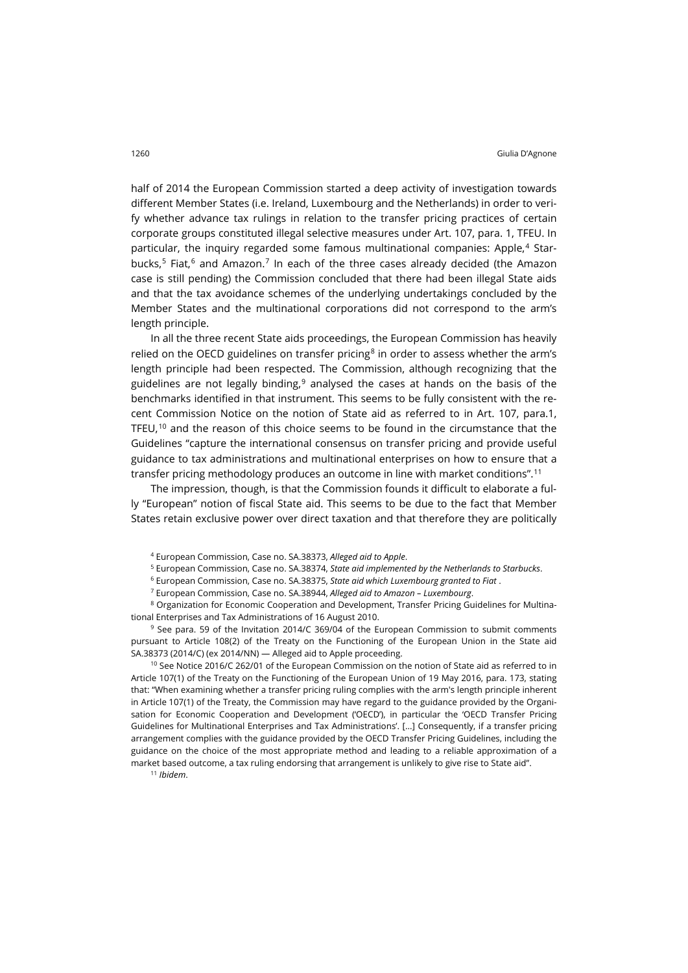half of 2014 the European Commission started a deep activity of investigation towards different Member States (i.e. Ireland, Luxembourg and the Netherlands) in order to verify whether advance tax rulings in relation to the transfer pricing practices of certain corporate groups constituted illegal selective measures under Art. 107, para. 1, TFEU. In particular, the inquiry regarded some famous multinational companies: Apple,[4](#page-1-0) Star-bucks,<sup>[5](#page-1-1)</sup> Fiat,<sup>[6](#page-1-2)</sup> and Amazon.<sup>[7](#page-1-3)</sup> In each of the three cases already decided (the Amazon case is still pending) the Commission concluded that there had been illegal State aids and that the tax avoidance schemes of the underlying undertakings concluded by the Member States and the multinational corporations did not correspond to the arm's length principle.

In all the three recent State aids proceedings, the European Commission has heavily relied on the OECD guidelines on transfer pricing $8$  in order to assess whether the arm's length principle had been respected. The Commission, although recognizing that the guidelines are not legally binding, [9](#page-1-5) analysed the cases at hands on the basis of the benchmarks identified in that instrument. This seems to be fully consistent with the recent Commission Notice on the notion of State aid as referred to in Art. 107, para.1, TFEU, $^{10}$  $^{10}$  $^{10}$  and the reason of this choice seems to be found in the circumstance that the Guidelines "capture the international consensus on transfer pricing and provide useful guidance to tax administrations and multinational enterprises on how to ensure that a transfer pricing methodology produces an outcome in line with market conditions".[11](#page-1-7)

The impression, though, is that the Commission founds it difficult to elaborate a fully "European" notion of fiscal State aid. This seems to be due to the fact that Member States retain exclusive power over direct taxation and that therefore they are politically

<sup>5</sup> European Commission, Case no. SA.38374, *[State aid implemented by the Netherlands to Starbucks](http://ec.europa.eu/competition/elojade/isef/case_details.cfm?proc_code=3_SA_38374)*.

<sup>7</sup> European Commission, Case no. SA.38944, *[Alleged aid to Amazon –](http://ec.europa.eu/competition/elojade/isef/index.cfm?fuseaction=dsp_result) Luxembourg*.

<span id="page-1-4"></span><span id="page-1-3"></span><span id="page-1-2"></span><span id="page-1-1"></span><span id="page-1-0"></span><sup>8</sup> Organization for Economic Cooperation and Development, Transfer Pricing Guidelines for Multinational Enterprises and Tax Administrations of 16 August 2010.

<span id="page-1-5"></span><sup>9</sup> See para. 59 of the Invitation 2014/C 369/04 of the European Commission to submit comments pursuant to Article 108(2) of the Treaty on the Functioning of the European Union in the State aid SA.38373 (2014/C) (ex 2014/NN) — Alleged aid to Apple proceeding.

<span id="page-1-6"></span> $10$  See Notice 2016/C 262/01 of the European Commission on the notion of State aid as referred to in Article 107(1) of the Treaty on the Functioning of the European Union of 19 May 2016, para. 173, stating that: "When examining whether a transfer pricing ruling complies with the arm's length principle inherent in Article 107(1) of the Treaty, the Commission may have regard to the guidance provided by the Organisation for Economic Cooperation and Development ('OECD'), in particular the 'OECD Transfer Pricing Guidelines for Multinational Enterprises and Tax Administrations'. [...] Consequently, if a transfer pricing arrangement complies with the guidance provided by the OECD Transfer Pricing Guidelines, including the guidance on the choice of the most appropriate method and leading to a reliable approximation of a market based outcome, a tax ruling endorsing that arrangement is unlikely to give rise to State aid".

<span id="page-1-7"></span><sup>11</sup> *Ibidem*.

<sup>4</sup> European Commission[, Case no. SA.38373,](http://ec.europa.eu/competition/elojade/isef/case_details.cfm?proc_code=3_SA_38373) *Alleged aid to Apple*.

<sup>6</sup> European Commission, Case no. SA.38375, *[State aid which Luxembourg granted to Fiat](http://ec.europa.eu/competition/elojade/isef/case_details.cfm?proc_code=3_SA_38375)* .